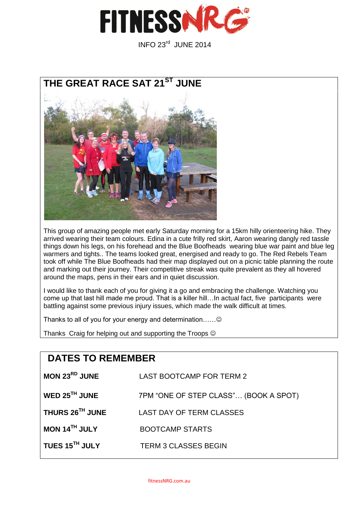

INFO 23rd JUNE 2014



This group of amazing people met early Saturday morning for a 15km hilly orienteering hike. They arrived wearing their team colours. Edina in a cute frilly red skirt, Aaron wearing dangly red tassle things down his legs, on his forehead and the Blue Boofheads wearing blue war paint and blue leg warmers and tights.. The teams looked great, energised and ready to go. The Red Rebels Team took off while The Blue Boofheads had their map displayed out on a picnic table planning the route and marking out their journey. Their competitive streak was quite prevalent as they all hovered around the maps, pens in their ears and in quiet discussion.

I would like to thank each of you for giving it a go and embracing the challenge. Watching you come up that last hill made me proud. That is a killer hill…In actual fact, five participants were battling against some previous injury issues, which made the walk difficult at times.

Thanks to all of you for your energy and determination…….........................

Thanks Craig for helping out and supporting the Troops  $\odot$ 

## **DATES TO REMEMBER**

| MON $23RD$ JUNE            | <b>LAST BOOTCAMP FOR TERM 2</b>       |
|----------------------------|---------------------------------------|
| WED $25^{\text{TH}}$ JUNE  | 7PM "ONE OF STEP CLASS" (BOOK A SPOT) |
| THURS 26TH JUNE            | LAST DAY OF TERM CLASSES              |
| MON 14TH JULY              | <b>BOOTCAMP STARTS</b>                |
| TUES 15 <sup>TH</sup> JULY | <b>TERM 3 CLASSES BEGIN</b>           |